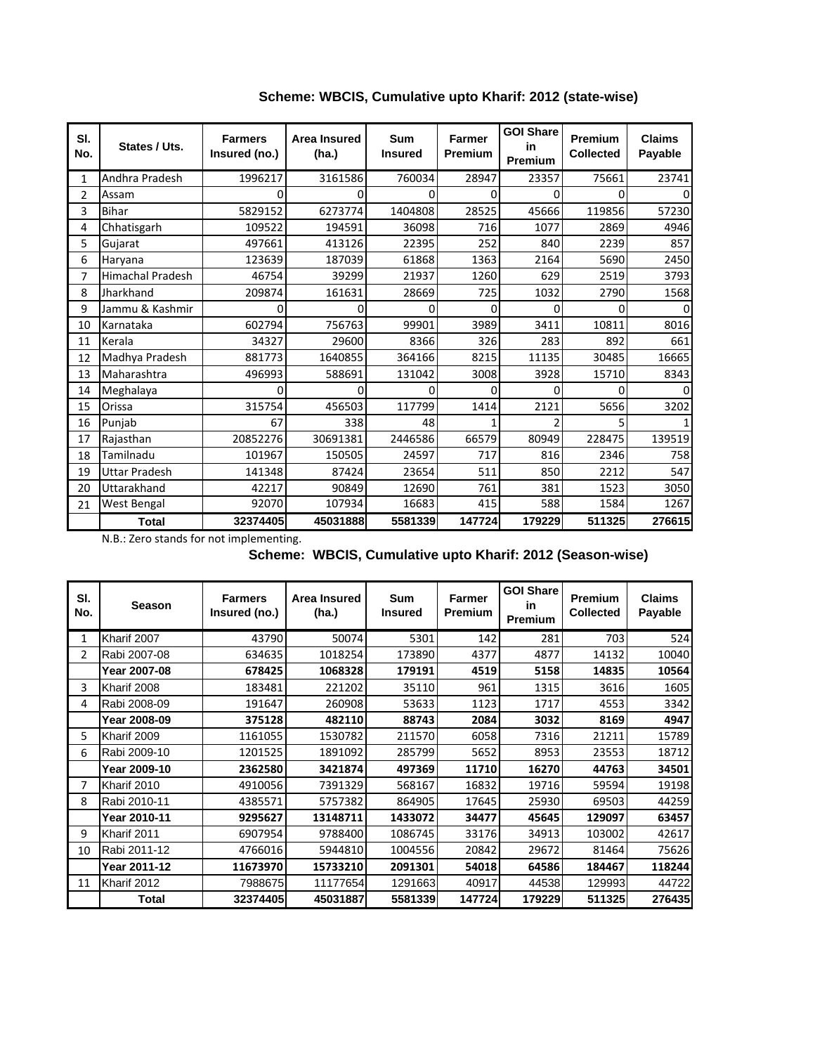| SI.<br>No.   | States / Uts.           | <b>Farmers</b><br>Insured (no.) | <b>Area Insured</b><br>(ha.) | Sum<br><b>Insured</b> | <b>Farmer</b><br><b>Premium</b> | <b>GOI Share</b><br>in<br>Premium | Premium<br><b>Collected</b> | <b>Claims</b><br>Payable |
|--------------|-------------------------|---------------------------------|------------------------------|-----------------------|---------------------------------|-----------------------------------|-----------------------------|--------------------------|
| $\mathbf{1}$ | Andhra Pradesh          | 1996217                         | 3161586                      | 760034                | 28947                           | 23357                             | 75661                       | 23741                    |
| 2            | Assam                   | 0                               | ი                            | 0                     | 0                               | 0                                 | 0                           |                          |
| 3            | <b>Bihar</b>            | 5829152                         | 6273774                      | 1404808               | 28525                           | 45666                             | 119856                      | 57230                    |
| 4            | Chhatisgarh             | 109522                          | 194591                       | 36098                 | 716                             | 1077                              | 2869                        | 4946                     |
| 5            | Gujarat                 | 497661                          | 413126                       | 22395                 | 252                             | 840                               | 2239                        | 857                      |
| 6            | Haryana                 | 123639                          | 187039                       | 61868                 | 1363                            | 2164                              | 5690                        | 2450                     |
| 7            | <b>Himachal Pradesh</b> | 46754                           | 39299                        | 21937                 | 1260                            | 629                               | 2519                        | 3793                     |
| 8            | Jharkhand               | 209874                          | 161631                       | 28669                 | 725                             | 1032                              | 2790                        | 1568                     |
| 9            | Jammu & Kashmir         | 0                               | o                            | 0                     | 0                               | 0                                 | $\Omega$                    | 0                        |
| 10           | Karnataka               | 602794                          | 756763                       | 99901                 | 3989                            | 3411                              | 10811                       | 8016                     |
| 11           | Kerala                  | 34327                           | 29600                        | 8366                  | 326                             | 283                               | 892                         | 661                      |
| 12           | Madhya Pradesh          | 881773                          | 1640855                      | 364166                | 8215                            | 11135                             | 30485                       | 16665                    |
| 13           | Maharashtra             | 496993                          | 588691                       | 131042                | 3008                            | 3928                              | 15710                       | 8343                     |
| 14           | Meghalaya               | 0                               | n                            | ი                     | 0                               | 0                                 | 0                           | O                        |
| 15           | Orissa                  | 315754                          | 456503                       | 117799                | 1414                            | 2121                              | 5656                        | 3202                     |
| 16           | Punjab                  | 67                              | 338                          | 48                    |                                 | 2                                 | 5                           |                          |
| 17           | Rajasthan               | 20852276                        | 30691381                     | 2446586               | 66579                           | 80949                             | 228475                      | 139519                   |
| 18           | Tamilnadu               | 101967                          | 150505                       | 24597                 | 717                             | 816                               | 2346                        | 758                      |
| 19           | <b>Uttar Pradesh</b>    | 141348                          | 87424                        | 23654                 | 511                             | 850                               | 2212                        | 547                      |
| 20           | Uttarakhand             | 42217                           | 90849                        | 12690                 | 761                             | 381                               | 1523                        | 3050                     |
| 21           | West Bengal             | 92070                           | 107934                       | 16683                 | 415                             | 588                               | 1584                        | 1267                     |
|              | <b>Total</b>            | 32374405                        | 45031888                     | 5581339               | 147724                          | 179229                            | 511325                      | 276615                   |

**Scheme: WBCIS, Cumulative upto Kharif: 2012 (state-wise)**

N.B.: Zero stands for not implementing.

**Scheme: WBCIS, Cumulative upto Kharif: 2012 (Season-wise)**

| SI.<br>No.     | <b>Season</b> | <b>Farmers</b><br>Insured (no.) | <b>Area Insured</b><br>(ha.) | Sum<br><b>Insured</b> | Farmer<br><b>Premium</b> | <b>GOI Share</b><br>in<br>Premium | <b>Premium</b><br><b>Collected</b> | <b>Claims</b><br>Payable |
|----------------|---------------|---------------------------------|------------------------------|-----------------------|--------------------------|-----------------------------------|------------------------------------|--------------------------|
| 1              | Kharif 2007   | 43790                           | 50074                        | 5301                  | 142                      | 281                               | 703                                | 524                      |
| $\overline{2}$ | Rabi 2007-08  | 634635                          | 1018254                      | 173890                | 4377                     | 4877                              | 14132                              | 10040                    |
|                | Year 2007-08  | 678425                          | 1068328                      | 179191                | 4519                     | 5158                              | 14835                              | 10564                    |
| 3              | Kharif 2008   | 183481                          | 221202                       | 35110                 | 961                      | 1315                              | 3616                               | 1605                     |
| 4              | Rabi 2008-09  | 191647                          | 260908                       | 53633                 | 1123                     | 1717                              | 4553                               | 3342                     |
|                | Year 2008-09  | 375128                          | 482110                       | 88743                 | 2084                     | 3032                              | 8169                               | 4947                     |
| 5              | Kharif 2009   | 1161055                         | 1530782                      | 211570                | 6058                     | 7316                              | 21211                              | 15789                    |
| 6              | Rabi 2009-10  | 1201525                         | 1891092                      | 285799                | 5652                     | 8953                              | 23553                              | 18712                    |
|                | Year 2009-10  | 2362580                         | 3421874                      | 497369                | 11710                    | 16270                             | 44763                              | 34501                    |
| 7              | Kharif 2010   | 4910056                         | 7391329                      | 568167                | 16832                    | 19716                             | 59594                              | 19198                    |
| 8              | Rabi 2010-11  | 4385571                         | 5757382                      | 864905                | 17645                    | 25930                             | 69503                              | 44259                    |
|                | Year 2010-11  | 9295627                         | 13148711                     | 1433072               | 34477                    | 45645                             | 129097                             | 63457                    |
| 9              | Kharif 2011   | 6907954                         | 9788400                      | 1086745               | 33176                    | 34913                             | 103002                             | 42617                    |
| 10             | Rabi 2011-12  | 4766016                         | 5944810                      | 1004556               | 20842                    | 29672                             | 81464                              | 75626                    |
|                | Year 2011-12  | 11673970                        | 15733210                     | 2091301               | 54018                    | 64586                             | 184467                             | 118244                   |
| 11             | Kharif 2012   | 7988675                         | 11177654                     | 1291663               | 40917                    | 44538                             | 129993                             | 44722                    |
|                | Total         | 32374405                        | 45031887                     | 5581339               | 147724                   | 179229                            | 511325                             | 276435                   |